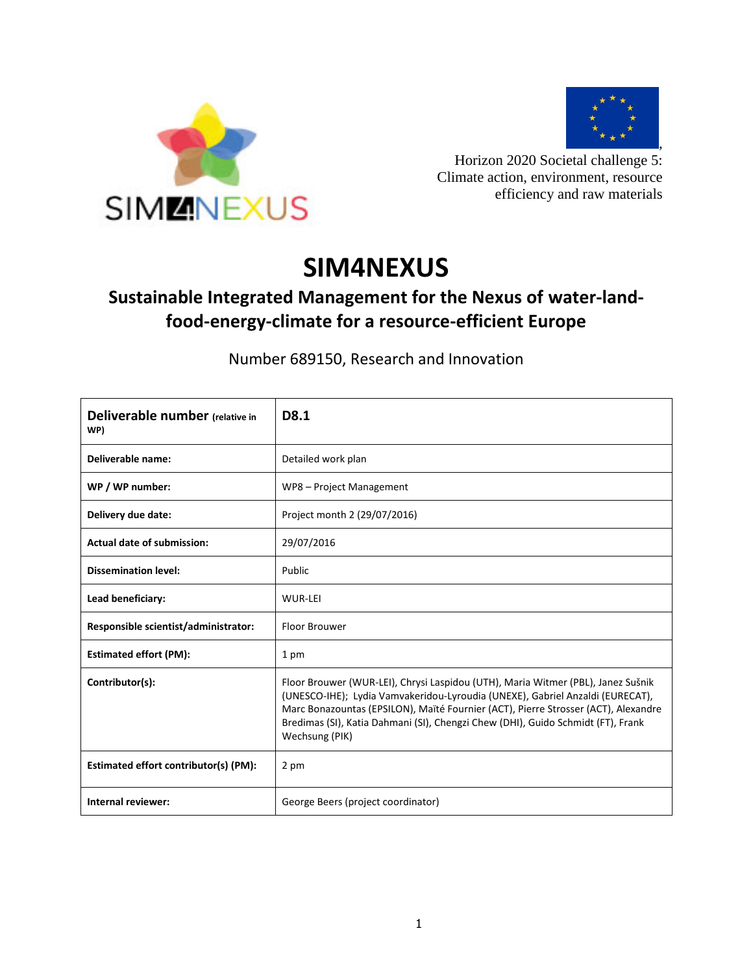



Horizon 2020 Societal challenge 5: Climate action, environment, resource efficiency and raw materials

# **SIM4NEXUS**

# **Sustainable Integrated Management for the Nexus of water-landfood-energy-climate for a resource-efficient Europe**

Number 689150, Research and Innovation

| Deliverable number (relative in<br>WP) | D8.1                                                                                                                                                                                                                                                                                                                                                          |
|----------------------------------------|---------------------------------------------------------------------------------------------------------------------------------------------------------------------------------------------------------------------------------------------------------------------------------------------------------------------------------------------------------------|
| Deliverable name:                      | Detailed work plan                                                                                                                                                                                                                                                                                                                                            |
| WP / WP number:                        | WP8 - Project Management                                                                                                                                                                                                                                                                                                                                      |
| Delivery due date:                     | Project month 2 (29/07/2016)                                                                                                                                                                                                                                                                                                                                  |
| <b>Actual date of submission:</b>      | 29/07/2016                                                                                                                                                                                                                                                                                                                                                    |
| <b>Dissemination level:</b>            | Public                                                                                                                                                                                                                                                                                                                                                        |
| Lead beneficiary:                      | WUR-LEI                                                                                                                                                                                                                                                                                                                                                       |
| Responsible scientist/administrator:   | Floor Brouwer                                                                                                                                                                                                                                                                                                                                                 |
| <b>Estimated effort (PM):</b>          | 1 pm                                                                                                                                                                                                                                                                                                                                                          |
| Contributor(s):                        | Floor Brouwer (WUR-LEI), Chrysi Laspidou (UTH), Maria Witmer (PBL), Janez Sušnik<br>(UNESCO-IHE); Lydia Vamvakeridou-Lyroudia (UNEXE), Gabriel Anzaldi (EURECAT),<br>Marc Bonazountas (EPSILON), Maïté Fournier (ACT), Pierre Strosser (ACT), Alexandre<br>Bredimas (SI), Katia Dahmani (SI), Chengzi Chew (DHI), Guido Schmidt (FT), Frank<br>Wechsung (PIK) |
| Estimated effort contributor(s) (PM):  | 2 pm                                                                                                                                                                                                                                                                                                                                                          |
| Internal reviewer:                     | George Beers (project coordinator)                                                                                                                                                                                                                                                                                                                            |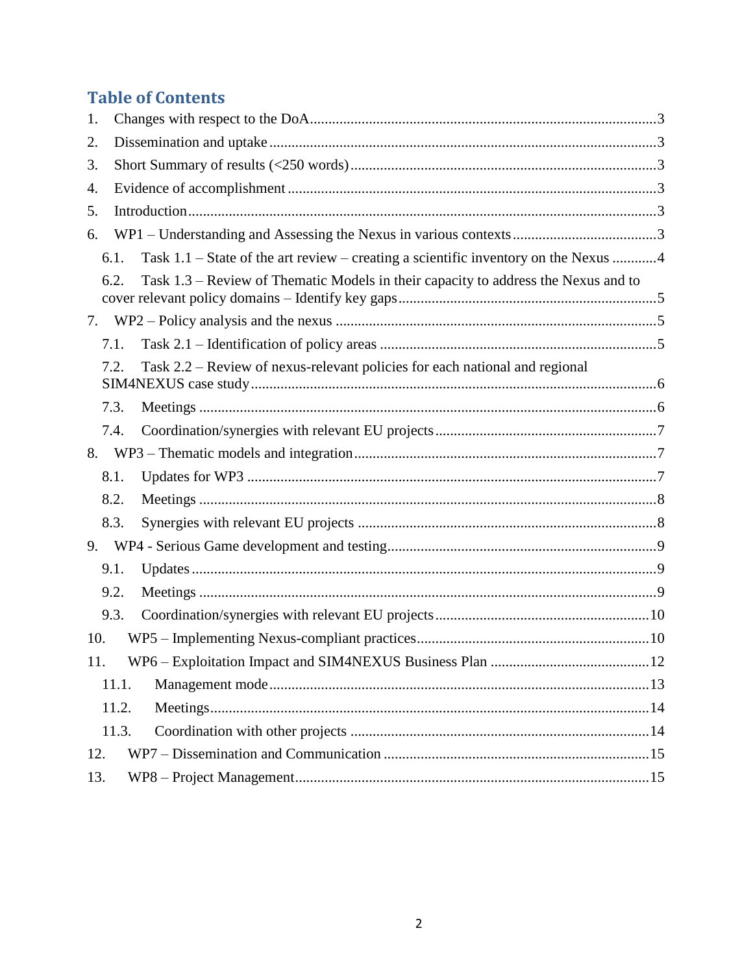# **Table of Contents**

| 1.  |                                                                                               |  |
|-----|-----------------------------------------------------------------------------------------------|--|
| 2.  |                                                                                               |  |
| 3.  |                                                                                               |  |
| 4.  |                                                                                               |  |
| 5.  |                                                                                               |  |
| 6.  |                                                                                               |  |
|     | Task $1.1$ – State of the art review – creating a scientific inventory on the Nexus 4<br>6.1. |  |
|     | Task 1.3 – Review of Thematic Models in their capacity to address the Nexus and to<br>6.2.    |  |
| 7.  |                                                                                               |  |
|     | 7.1.                                                                                          |  |
|     | Task 2.2 – Review of nexus-relevant policies for each national and regional<br>7.2.           |  |
|     | 7.3.                                                                                          |  |
|     | 7.4.                                                                                          |  |
| 8.  |                                                                                               |  |
|     | 8.1.                                                                                          |  |
|     | 8.2.                                                                                          |  |
|     | 8.3.                                                                                          |  |
|     |                                                                                               |  |
|     | 9.1.                                                                                          |  |
|     | 9.2.                                                                                          |  |
|     | 9.3.                                                                                          |  |
| 10. |                                                                                               |  |
| 11. |                                                                                               |  |
|     | 11.1.                                                                                         |  |
|     | 11.2.                                                                                         |  |
|     | 11.3.                                                                                         |  |
| 12. |                                                                                               |  |
| 13. |                                                                                               |  |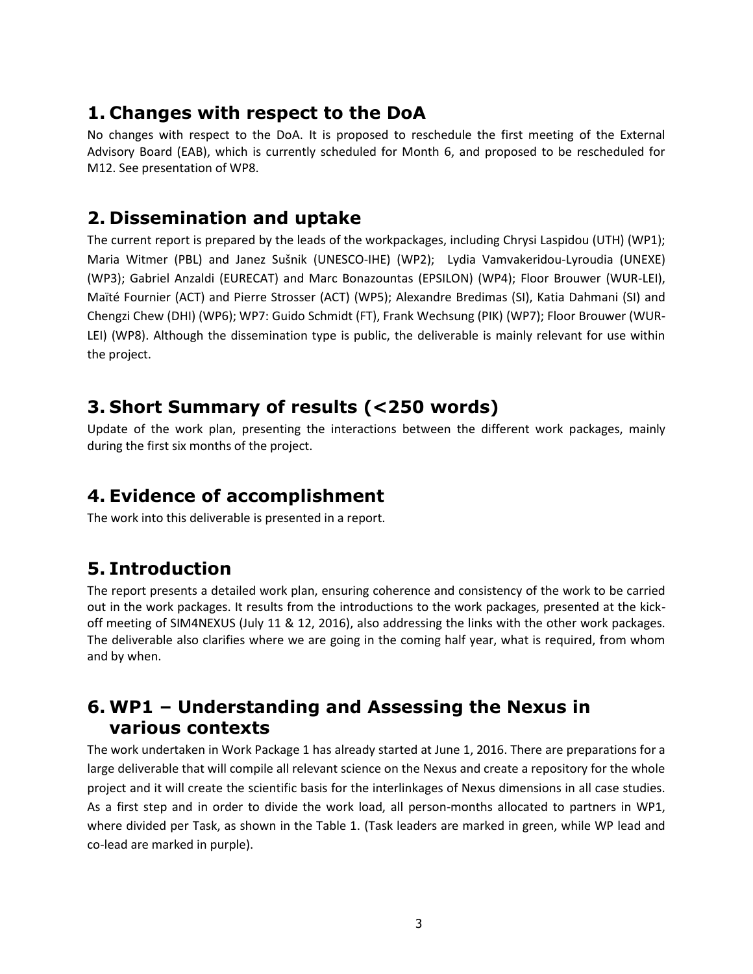### <span id="page-2-0"></span>**1. Changes with respect to the DoA**

No changes with respect to the DoA. It is proposed to reschedule the first meeting of the External Advisory Board (EAB), which is currently scheduled for Month 6, and proposed to be rescheduled for M12. See presentation of WP8.

### <span id="page-2-1"></span>**2. Dissemination and uptake**

The current report is prepared by the leads of the workpackages, including Chrysi Laspidou (UTH) (WP1); Maria Witmer (PBL) and Janez Sušnik (UNESCO-IHE) (WP2); Lydia Vamvakeridou-Lyroudia (UNEXE) (WP3); Gabriel Anzaldi (EURECAT) and Marc Bonazountas (EPSILON) (WP4); Floor Brouwer (WUR-LEI), Maïté Fournier (ACT) and Pierre Strosser (ACT) (WP5); Alexandre Bredimas (SI), Katia Dahmani (SI) and Chengzi Chew (DHI) (WP6); WP7: Guido Schmidt (FT), Frank Wechsung (PIK) (WP7); Floor Brouwer (WUR-LEI) (WP8). Although the dissemination type is public, the deliverable is mainly relevant for use within the project.

### <span id="page-2-2"></span>**3. Short Summary of results (<250 words)**

Update of the work plan, presenting the interactions between the different work packages, mainly during the first six months of the project.

### <span id="page-2-3"></span>**4. Evidence of accomplishment**

The work into this deliverable is presented in a report.

# <span id="page-2-4"></span>**5. Introduction**

The report presents a detailed work plan, ensuring coherence and consistency of the work to be carried out in the work packages. It results from the introductions to the work packages, presented at the kickoff meeting of SIM4NEXUS (July 11 & 12, 2016), also addressing the links with the other work packages. The deliverable also clarifies where we are going in the coming half year, what is required, from whom and by when.

## <span id="page-2-5"></span>**6. WP1 – Understanding and Assessing the Nexus in various contexts**

The work undertaken in Work Package 1 has already started at June 1, 2016. There are preparations for a large deliverable that will compile all relevant science on the Nexus and create a repository for the whole project and it will create the scientific basis for the interlinkages of Nexus dimensions in all case studies. As a first step and in order to divide the work load, all person-months allocated to partners in WP1, where divided per Task, as shown in the Table 1. (Task leaders are marked in green, while WP lead and co-lead are marked in purple).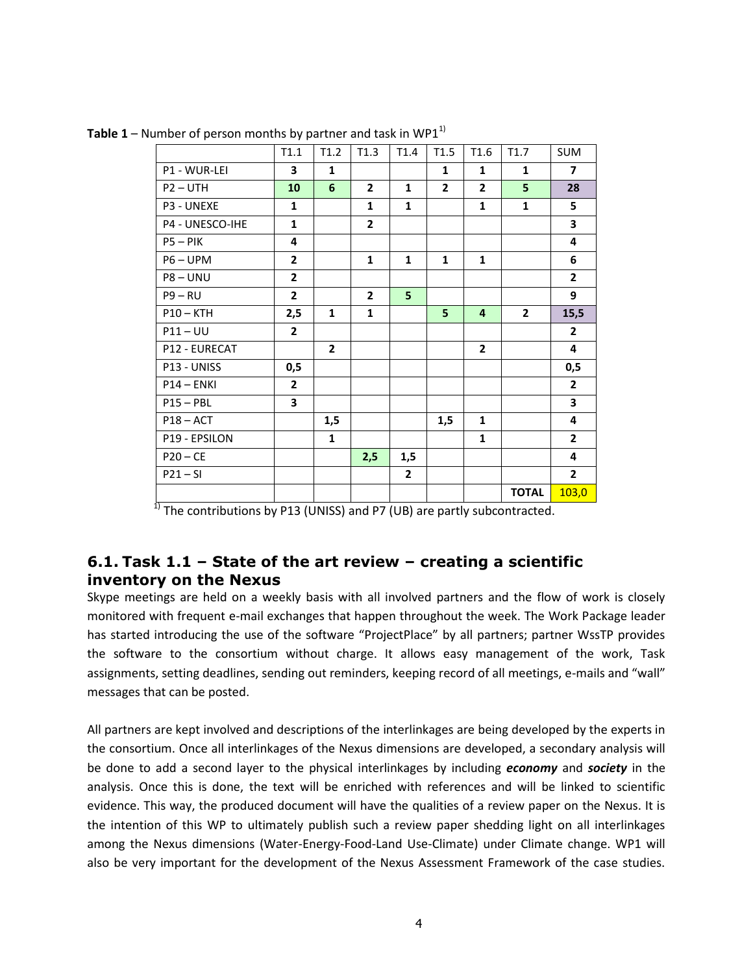|                 | T1.1         | T1.2           | T1.3           | T1.4         | T1.5           | T1.6           | T1.7         | <b>SUM</b>     |
|-----------------|--------------|----------------|----------------|--------------|----------------|----------------|--------------|----------------|
| P1 - WUR-LEI    | 3            | $\mathbf{1}$   |                |              | $\mathbf{1}$   | $\mathbf{1}$   | $\mathbf{1}$ | $\overline{7}$ |
| $P2 - UTH$      | 10           | 6              | $\overline{2}$ | $\mathbf{1}$ | $\overline{2}$ | $\overline{2}$ | 5            | 28             |
| P3 - UNEXE      | $\mathbf{1}$ |                | 1              | $\mathbf{1}$ |                | $\mathbf{1}$   | $\mathbf{1}$ | 5              |
| P4 - UNESCO-IHE | $\mathbf{1}$ |                | $\overline{2}$ |              |                |                |              | 3              |
| $P5 - PIK$      | 4            |                |                |              |                |                |              | 4              |
| $P6 - UPM$      | $\mathbf{2}$ |                | 1              | $\mathbf{1}$ | $\mathbf{1}$   | $\mathbf{1}$   |              | 6              |
| $P8 - UNU$      | $\mathbf{2}$ |                |                |              |                |                |              | $\overline{2}$ |
| $P9 - RU$       | $\mathbf{2}$ |                | $\overline{2}$ | 5            |                |                |              | 9              |
| $P10 - KTH$     | 2,5          | 1              | $\mathbf{1}$   |              | 5              | $\overline{4}$ | $\mathbf{2}$ | 15,5           |
| $P11 - UU$      | $\mathbf{2}$ |                |                |              |                |                |              | $\overline{2}$ |
| P12 - EURECAT   |              | $\overline{2}$ |                |              |                | $\overline{2}$ |              | 4              |
| P13 - UNISS     | 0,5          |                |                |              |                |                |              | 0,5            |
| $P14 - ENKI$    | $\mathbf{2}$ |                |                |              |                |                |              | $\overline{2}$ |
| $P15 - PBL$     | 3            |                |                |              |                |                |              | 3              |
| $P18 - ACT$     |              | 1,5            |                |              | 1,5            | $\mathbf{1}$   |              | 4              |
| P19 - EPSILON   |              | $\mathbf{1}$   |                |              |                | $\mathbf{1}$   |              | $\overline{2}$ |
| $P20 - CE$      |              |                | 2,5            | 1,5          |                |                |              | 4              |
| $P21 - SI$      |              |                |                | $\mathbf{2}$ |                |                |              | $\overline{2}$ |
|                 |              |                |                |              |                |                | <b>TOTAL</b> | 103,0          |

**Table 1** – Number of person months by partner and task in WP1<sup>1)</sup>

 $1)$  The contributions by P13 (UNISS) and P7 (UB) are partly subcontracted.

#### <span id="page-3-0"></span>**6.1. Task 1.1 – State of the art review – creating a scientific inventory on the Nexus**

Skype meetings are held on a weekly basis with all involved partners and the flow of work is closely monitored with frequent e-mail exchanges that happen throughout the week. The Work Package leader has started introducing the use of the software "ProjectPlace" by all partners; partner WssTP provides the software to the consortium without charge. It allows easy management of the work, Task assignments, setting deadlines, sending out reminders, keeping record of all meetings, e-mails and "wall" messages that can be posted.

All partners are kept involved and descriptions of the interlinkages are being developed by the experts in the consortium. Once all interlinkages of the Nexus dimensions are developed, a secondary analysis will be done to add a second layer to the physical interlinkages by including *economy* and *society* in the analysis. Once this is done, the text will be enriched with references and will be linked to scientific evidence. This way, the produced document will have the qualities of a review paper on the Nexus. It is the intention of this WP to ultimately publish such a review paper shedding light on all interlinkages among the Nexus dimensions (Water-Energy-Food-Land Use-Climate) under Climate change. WP1 will also be very important for the development of the Nexus Assessment Framework of the case studies.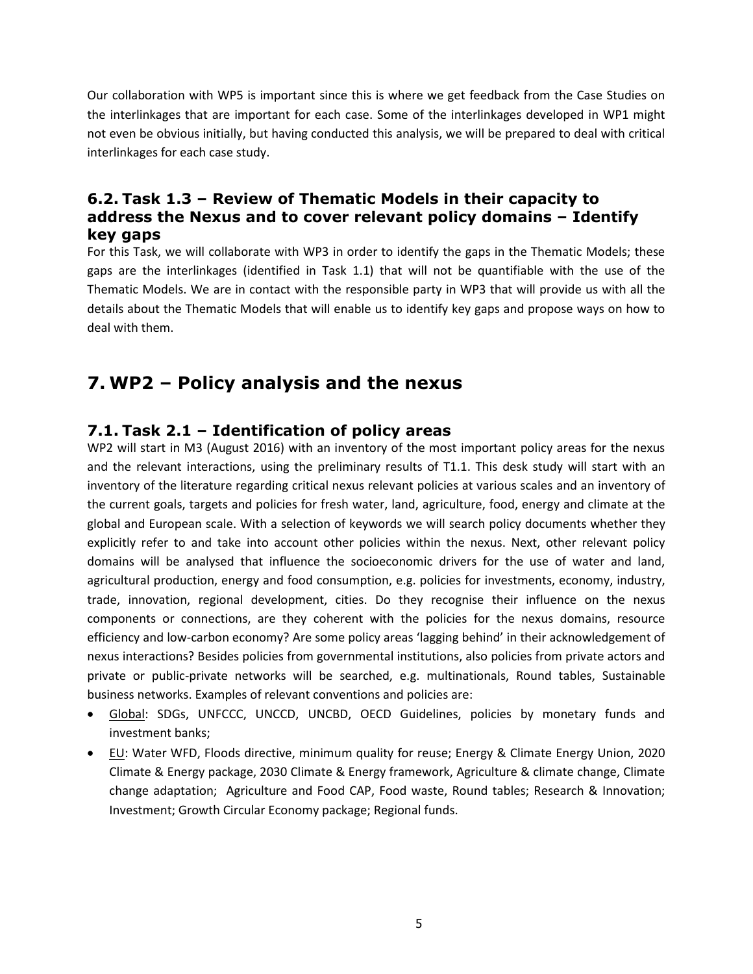Our collaboration with WP5 is important since this is where we get feedback from the Case Studies on the interlinkages that are important for each case. Some of the interlinkages developed in WP1 might not even be obvious initially, but having conducted this analysis, we will be prepared to deal with critical interlinkages for each case study.

#### <span id="page-4-0"></span>**6.2. Task 1.3 – Review of Thematic Models in their capacity to address the Nexus and to cover relevant policy domains – Identify key gaps**

For this Task, we will collaborate with WP3 in order to identify the gaps in the Thematic Models; these gaps are the interlinkages (identified in Task 1.1) that will not be quantifiable with the use of the Thematic Models. We are in contact with the responsible party in WP3 that will provide us with all the details about the Thematic Models that will enable us to identify key gaps and propose ways on how to deal with them.

# <span id="page-4-1"></span>**7. WP2 – Policy analysis and the nexus**

#### <span id="page-4-2"></span>**7.1. Task 2.1 – Identification of policy areas**

WP2 will start in M3 (August 2016) with an inventory of the most important policy areas for the nexus and the relevant interactions, using the preliminary results of T1.1. This desk study will start with an inventory of the literature regarding critical nexus relevant policies at various scales and an inventory of the current goals, targets and policies for fresh water, land, agriculture, food, energy and climate at the global and European scale. With a selection of keywords we will search policy documents whether they explicitly refer to and take into account other policies within the nexus. Next, other relevant policy domains will be analysed that influence the socioeconomic drivers for the use of water and land, agricultural production, energy and food consumption, e.g. policies for investments, economy, industry, trade, innovation, regional development, cities. Do they recognise their influence on the nexus components or connections, are they coherent with the policies for the nexus domains, resource efficiency and low-carbon economy? Are some policy areas 'lagging behind' in their acknowledgement of nexus interactions? Besides policies from governmental institutions, also policies from private actors and private or public-private networks will be searched, e.g. multinationals, Round tables, Sustainable business networks. Examples of relevant conventions and policies are:

- Global: SDGs, UNFCCC, UNCCD, UNCBD, OECD Guidelines, policies by monetary funds and investment banks;
- EU: Water WFD, Floods directive, minimum quality for reuse; Energy & Climate Energy Union, 2020 Climate & Energy package, 2030 Climate & Energy framework, Agriculture & climate change, Climate change adaptation; Agriculture and Food CAP, Food waste, Round tables; Research & Innovation; Investment; Growth Circular Economy package; Regional funds.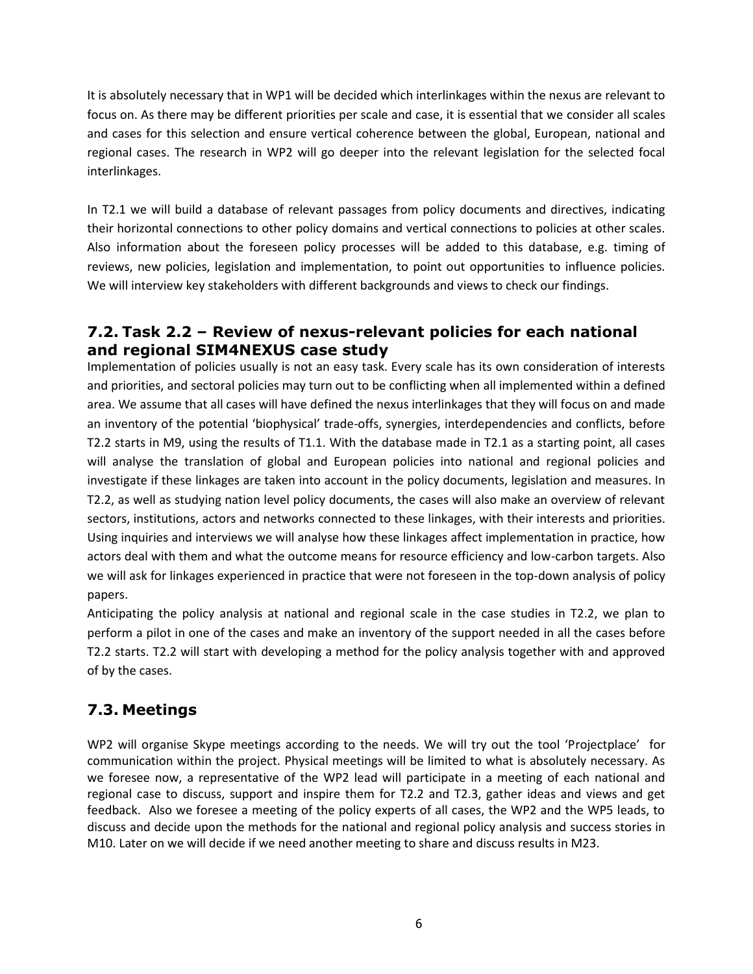It is absolutely necessary that in WP1 will be decided which interlinkages within the nexus are relevant to focus on. As there may be different priorities per scale and case, it is essential that we consider all scales and cases for this selection and ensure vertical coherence between the global, European, national and regional cases. The research in WP2 will go deeper into the relevant legislation for the selected focal interlinkages.

In T2.1 we will build a database of relevant passages from policy documents and directives, indicating their horizontal connections to other policy domains and vertical connections to policies at other scales. Also information about the foreseen policy processes will be added to this database, e.g. timing of reviews, new policies, legislation and implementation, to point out opportunities to influence policies. We will interview key stakeholders with different backgrounds and views to check our findings.

#### <span id="page-5-0"></span>**7.2. Task 2.2 – Review of nexus-relevant policies for each national and regional SIM4NEXUS case study**

Implementation of policies usually is not an easy task. Every scale has its own consideration of interests and priorities, and sectoral policies may turn out to be conflicting when all implemented within a defined area. We assume that all cases will have defined the nexus interlinkages that they will focus on and made an inventory of the potential 'biophysical' trade-offs, synergies, interdependencies and conflicts, before T2.2 starts in M9, using the results of T1.1. With the database made in T2.1 as a starting point, all cases will analyse the translation of global and European policies into national and regional policies and investigate if these linkages are taken into account in the policy documents, legislation and measures. In T2.2, as well as studying nation level policy documents, the cases will also make an overview of relevant sectors, institutions, actors and networks connected to these linkages, with their interests and priorities. Using inquiries and interviews we will analyse how these linkages affect implementation in practice, how actors deal with them and what the outcome means for resource efficiency and low-carbon targets. Also we will ask for linkages experienced in practice that were not foreseen in the top-down analysis of policy papers.

Anticipating the policy analysis at national and regional scale in the case studies in T2.2, we plan to perform a pilot in one of the cases and make an inventory of the support needed in all the cases before T2.2 starts. T2.2 will start with developing a method for the policy analysis together with and approved of by the cases.

### <span id="page-5-1"></span>**7.3. Meetings**

WP2 will organise Skype meetings according to the needs. We will try out the tool 'Projectplace' for communication within the project. Physical meetings will be limited to what is absolutely necessary. As we foresee now, a representative of the WP2 lead will participate in a meeting of each national and regional case to discuss, support and inspire them for T2.2 and T2.3, gather ideas and views and get feedback. Also we foresee a meeting of the policy experts of all cases, the WP2 and the WP5 leads, to discuss and decide upon the methods for the national and regional policy analysis and success stories in M10. Later on we will decide if we need another meeting to share and discuss results in M23.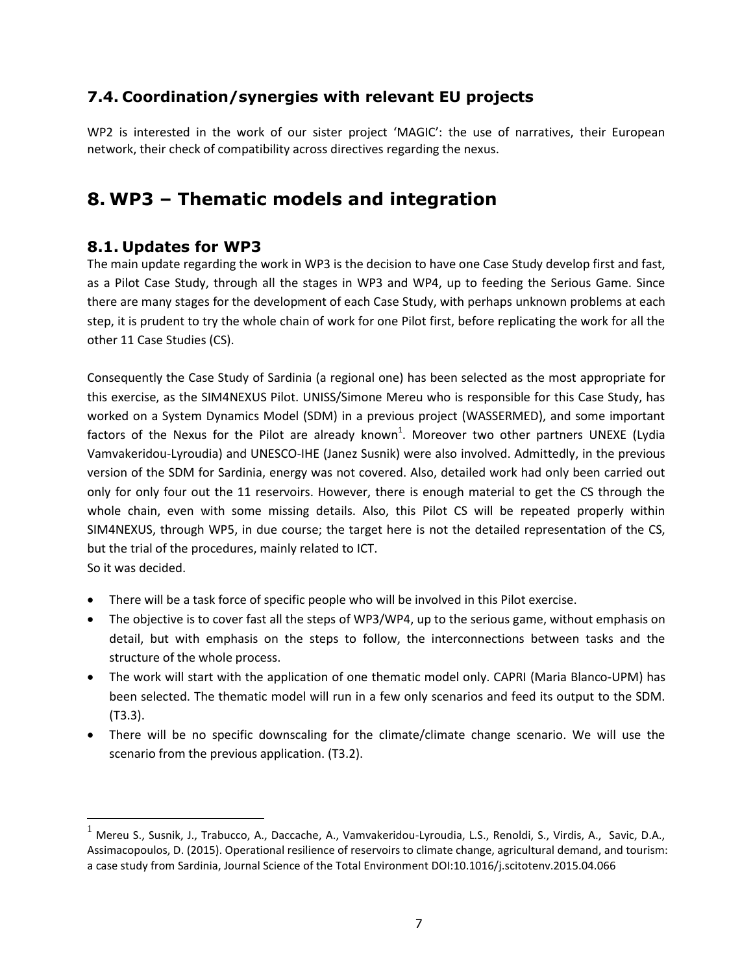#### <span id="page-6-0"></span>**7.4. Coordination/synergies with relevant EU projects**

WP2 is interested in the work of our sister project 'MAGIC': the use of narratives, their European network, their check of compatibility across directives regarding the nexus.

# <span id="page-6-1"></span>**8. WP3 – Thematic models and integration**

#### <span id="page-6-2"></span>**8.1. Updates for WP3**

The main update regarding the work in WP3 is the decision to have one Case Study develop first and fast, as a Pilot Case Study, through all the stages in WP3 and WP4, up to feeding the Serious Game. Since there are many stages for the development of each Case Study, with perhaps unknown problems at each step, it is prudent to try the whole chain of work for one Pilot first, before replicating the work for all the other 11 Case Studies (CS).

Consequently the Case Study of Sardinia (a regional one) has been selected as the most appropriate for this exercise, as the SIM4NEXUS Pilot. UNISS/Simone Mereu who is responsible for this Case Study, has worked on a System Dynamics Model (SDM) in a previous project (WASSERMED), and some important factors of the Nexus for the Pilot are already known<sup>1</sup>. Moreover two other partners UNEXE (Lydia Vamvakeridou-Lyroudia) and UNESCO-IHE (Janez Susnik) were also involved. Admittedly, in the previous version of the SDM for Sardinia, energy was not covered. Also, detailed work had only been carried out only for only four out the 11 reservoirs. However, there is enough material to get the CS through the whole chain, even with some missing details. Also, this Pilot CS will be repeated properly within SIM4NEXUS, through WP5, in due course; the target here is not the detailed representation of the CS, but the trial of the procedures, mainly related to ICT.

So it was decided.

 $\overline{a}$ 

- There will be a task force of specific people who will be involved in this Pilot exercise.
- The objective is to cover fast all the steps of WP3/WP4, up to the serious game, without emphasis on detail, but with emphasis on the steps to follow, the interconnections between tasks and the structure of the whole process.
- The work will start with the application of one thematic model only. CAPRI (Maria Blanco-UPM) has been selected. The thematic model will run in a few only scenarios and feed its output to the SDM. (T3.3).
- There will be no specific downscaling for the climate/climate change scenario. We will use the scenario from the previous application. (T3.2).

Mereu S., Susnik, J., Trabucco, A., Daccache, A., Vamvakeridou-Lyroudia, L.S., Renoldi, S., Virdis, A., Savic, D.A., Assimacopoulos, D. (2015). Operational resilience of reservoirs to climate change, agricultural demand, and tourism: a case study from Sardinia, Journal Science of the Total Environment DOI:10.1016/j.scitotenv.2015.04.066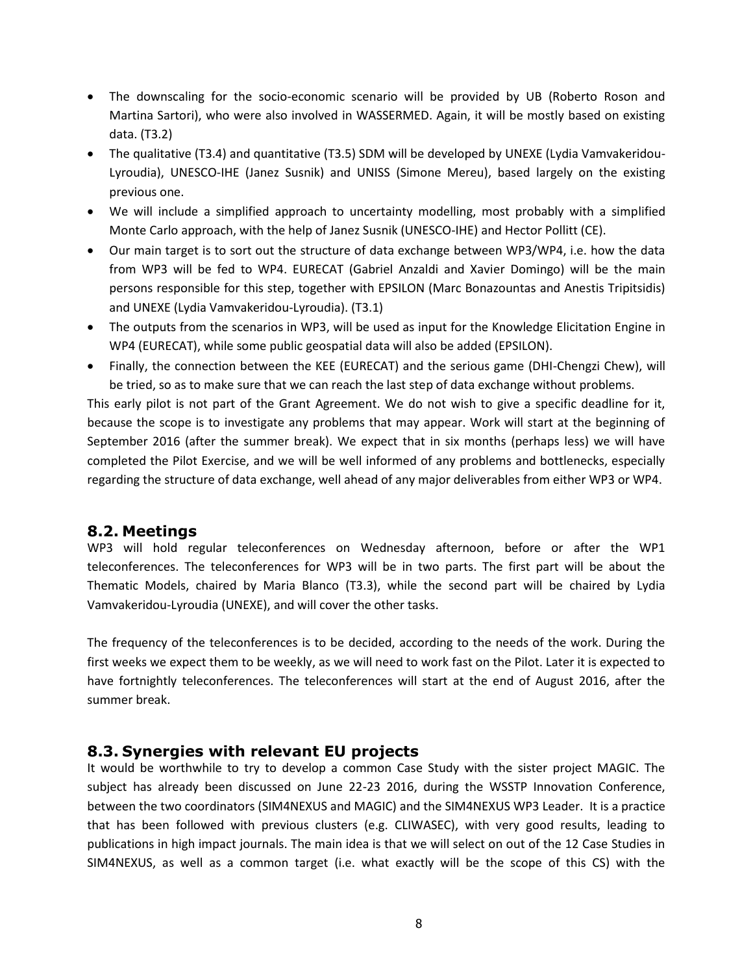- The downscaling for the socio-economic scenario will be provided by UB (Roberto Roson and Martina Sartori), who were also involved in WASSERMED. Again, it will be mostly based on existing data. (T3.2)
- The qualitative (T3.4) and quantitative (T3.5) SDM will be developed by UNEXE (Lydia Vamvakeridou-Lyroudia), UNESCO-IHE (Janez Susnik) and UNISS (Simone Mereu), based largely on the existing previous one.
- We will include a simplified approach to uncertainty modelling, most probably with a simplified Monte Carlo approach, with the help of Janez Susnik (UNESCO-IHE) and Hector Pollitt (CE).
- Our main target is to sort out the structure of data exchange between WP3/WP4, i.e. how the data from WP3 will be fed to WP4. EURECAT (Gabriel Anzaldi and Xavier Domingo) will be the main persons responsible for this step, together with EPSILON (Marc Bonazountas and Anestis Tripitsidis) and UNEXE (Lydia Vamvakeridou-Lyroudia). (T3.1)
- The outputs from the scenarios in WP3, will be used as input for the Knowledge Elicitation Engine in WP4 (EURECAT), while some public geospatial data will also be added (EPSILON).
- Finally, the connection between the KEE (EURECAT) and the serious game (DHI-Chengzi Chew), will be tried, so as to make sure that we can reach the last step of data exchange without problems.

This early pilot is not part of the Grant Agreement. We do not wish to give a specific deadline for it, because the scope is to investigate any problems that may appear. Work will start at the beginning of September 2016 (after the summer break). We expect that in six months (perhaps less) we will have completed the Pilot Exercise, and we will be well informed of any problems and bottlenecks, especially regarding the structure of data exchange, well ahead of any major deliverables from either WP3 or WP4.

#### <span id="page-7-0"></span>**8.2. Meetings**

WP3 will hold regular teleconferences on Wednesday afternoon, before or after the WP1 teleconferences. The teleconferences for WP3 will be in two parts. The first part will be about the Thematic Models, chaired by Maria Blanco (T3.3), while the second part will be chaired by Lydia Vamvakeridou-Lyroudia (UNEXE), and will cover the other tasks.

The frequency of the teleconferences is to be decided, according to the needs of the work. During the first weeks we expect them to be weekly, as we will need to work fast on the Pilot. Later it is expected to have fortnightly teleconferences. The teleconferences will start at the end of August 2016, after the summer break.

#### <span id="page-7-1"></span>**8.3. Synergies with relevant EU projects**

It would be worthwhile to try to develop a common Case Study with the sister project MAGIC. The subject has already been discussed on June 22-23 2016, during the WSSTP Innovation Conference, between the two coordinators (SIM4NEXUS and MAGIC) and the SIM4NEXUS WP3 Leader. It is a practice that has been followed with previous clusters (e.g. CLIWASEC), with very good results, leading to publications in high impact journals. The main idea is that we will select on out of the 12 Case Studies in SIM4NEXUS, as well as a common target (i.e. what exactly will be the scope of this CS) with the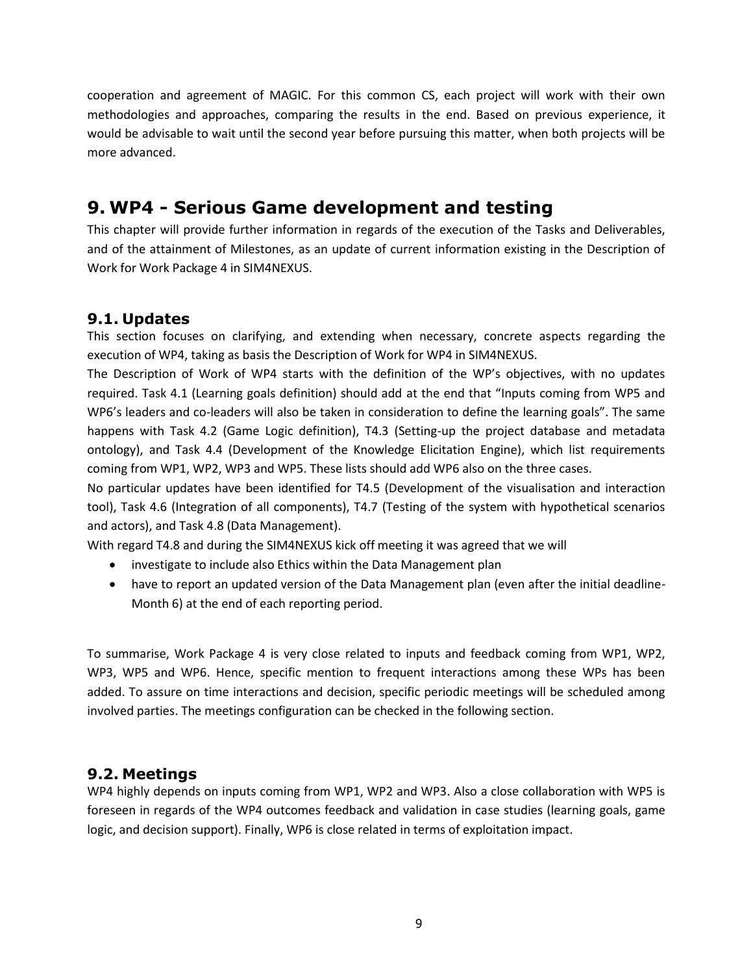cooperation and agreement of MAGIC. For this common CS, each project will work with their own methodologies and approaches, comparing the results in the end. Based on previous experience, it would be advisable to wait until the second year before pursuing this matter, when both projects will be more advanced.

# <span id="page-8-0"></span>**9. WP4 - Serious Game development and testing**

This chapter will provide further information in regards of the execution of the Tasks and Deliverables, and of the attainment of Milestones, as an update of current information existing in the Description of Work for Work Package 4 in SIM4NEXUS.

#### <span id="page-8-1"></span>**9.1. Updates**

This section focuses on clarifying, and extending when necessary, concrete aspects regarding the execution of WP4, taking as basis the Description of Work for WP4 in SIM4NEXUS.

The Description of Work of WP4 starts with the definition of the WP's objectives, with no updates required. Task 4.1 (Learning goals definition) should add at the end that "Inputs coming from WP5 and WP6's leaders and co-leaders will also be taken in consideration to define the learning goals". The same happens with Task 4.2 (Game Logic definition), T4.3 (Setting-up the project database and metadata ontology), and Task 4.4 (Development of the Knowledge Elicitation Engine), which list requirements coming from WP1, WP2, WP3 and WP5. These lists should add WP6 also on the three cases.

No particular updates have been identified for T4.5 (Development of the visualisation and interaction tool), Task 4.6 (Integration of all components), T4.7 (Testing of the system with hypothetical scenarios and actors), and Task 4.8 (Data Management).

With regard T4.8 and during the SIM4NEXUS kick off meeting it was agreed that we will

- investigate to include also Ethics within the Data Management plan
- have to report an updated version of the Data Management plan (even after the initial deadline-Month 6) at the end of each reporting period.

To summarise, Work Package 4 is very close related to inputs and feedback coming from WP1, WP2, WP3, WP5 and WP6. Hence, specific mention to frequent interactions among these WPs has been added. To assure on time interactions and decision, specific periodic meetings will be scheduled among involved parties. The meetings configuration can be checked in the following section.

#### <span id="page-8-2"></span>**9.2. Meetings**

WP4 highly depends on inputs coming from WP1, WP2 and WP3. Also a close collaboration with WP5 is foreseen in regards of the WP4 outcomes feedback and validation in case studies (learning goals, game logic, and decision support). Finally, WP6 is close related in terms of exploitation impact.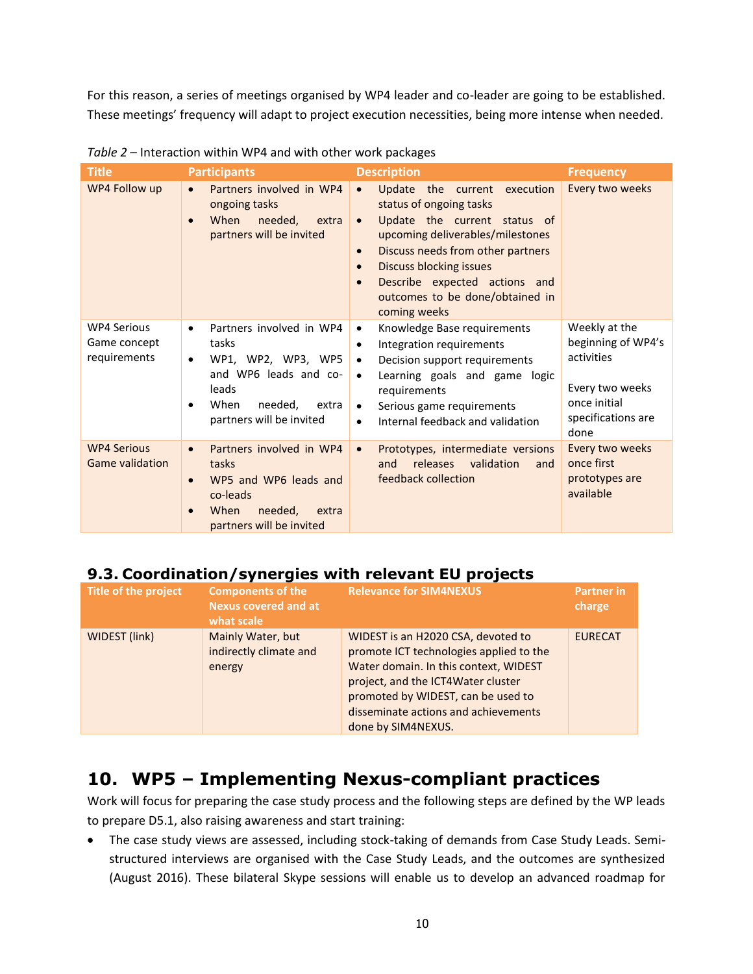For this reason, a series of meetings organised by WP4 leader and co-leader are going to be established. These meetings' frequency will adapt to project execution necessities, being more intense when needed.

| <b>Title</b>                                       | <b>Participants</b>                                                                                                                                            | <b>Description</b>                                                                                                                                                                                                                                                                                                                         | <b>Frequency</b>                                                                                                   |  |  |  |  |  |  |
|----------------------------------------------------|----------------------------------------------------------------------------------------------------------------------------------------------------------------|--------------------------------------------------------------------------------------------------------------------------------------------------------------------------------------------------------------------------------------------------------------------------------------------------------------------------------------------|--------------------------------------------------------------------------------------------------------------------|--|--|--|--|--|--|
| WP4 Follow up                                      | Partners involved in WP4<br>$\bullet$<br>ongoing tasks<br>When<br>needed.<br>extra<br>partners will be invited                                                 | Update the current execution<br>$\bullet$<br>status of ongoing tasks<br>Update the current status of<br>$\bullet$<br>upcoming deliverables/milestones<br>Discuss needs from other partners<br>$\bullet$<br><b>Discuss blocking issues</b><br>$\bullet$<br>Describe expected actions and<br>outcomes to be done/obtained in<br>coming weeks | Every two weeks                                                                                                    |  |  |  |  |  |  |
| <b>WP4 Serious</b><br>Game concept<br>requirements | Partners involved in WP4<br>$\bullet$<br>tasks<br>WP1, WP2, WP3, WP5<br>and WP6 leads and co-<br>leads<br>When<br>needed,<br>extra<br>partners will be invited | Knowledge Base requirements<br>$\bullet$<br>Integration requirements<br>٠<br>Decision support requirements<br>$\bullet$<br>Learning goals and game logic<br>$\bullet$<br>requirements<br>Serious game requirements<br>$\bullet$<br>Internal feedback and validation<br>$\bullet$                                                           | Weekly at the<br>beginning of WP4's<br>activities<br>Every two weeks<br>once initial<br>specifications are<br>done |  |  |  |  |  |  |
| <b>WP4 Serious</b><br><b>Game validation</b>       | Partners involved in WP4<br>$\bullet$<br>tasks<br>WP5 and WP6 leads and<br>co-leads<br>When<br>needed,<br>extra<br>partners will be invited                    | Prototypes, intermediate versions<br>$\bullet$<br>releases<br>validation<br>and<br>and<br>feedback collection                                                                                                                                                                                                                              | Every two weeks<br>once first<br>prototypes are<br>available                                                       |  |  |  |  |  |  |

*Table 2* – Interaction within WP4 and with other work packages

### <span id="page-9-0"></span>**9.3. Coordination/synergies with relevant EU projects**

| Title of the project | <b>Components of the</b><br><b>Nexus covered and at</b><br>what scale | <b>Relevance for SIM4NEXUS</b>                                                                                                                                                                                                                                   | <b>Partner in</b><br>charge |
|----------------------|-----------------------------------------------------------------------|------------------------------------------------------------------------------------------------------------------------------------------------------------------------------------------------------------------------------------------------------------------|-----------------------------|
| WIDEST (link)        | Mainly Water, but<br>indirectly climate and<br>energy                 | WIDEST is an H2020 CSA, devoted to<br>promote ICT technologies applied to the<br>Water domain. In this context, WIDEST<br>project, and the ICT4Water cluster<br>promoted by WIDEST, can be used to<br>disseminate actions and achievements<br>done by SIM4NEXUS. | <b>EURECAT</b>              |

# <span id="page-9-1"></span>**10. WP5 – Implementing Nexus-compliant practices**

Work will focus for preparing the case study process and the following steps are defined by the WP leads to prepare D5.1, also raising awareness and start training:

 The case study views are assessed, including stock-taking of demands from Case Study Leads. Semistructured interviews are organised with the Case Study Leads, and the outcomes are synthesized (August 2016). These bilateral Skype sessions will enable us to develop an advanced roadmap for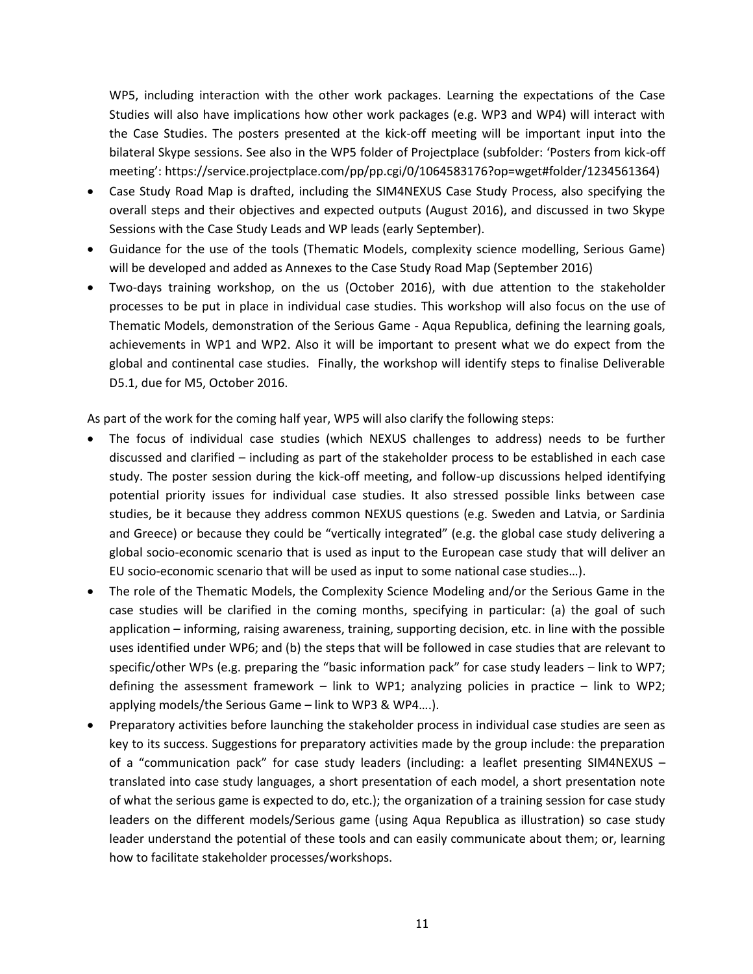WP5, including interaction with the other work packages. Learning the expectations of the Case Studies will also have implications how other work packages (e.g. WP3 and WP4) will interact with the Case Studies. The posters presented at the kick-off meeting will be important input into the bilateral Skype sessions. See also in the WP5 folder of Projectplace (subfolder: 'Posters from kick-off meeting': https://service.projectplace.com/pp/pp.cgi/0/1064583176?op=wget#folder/1234561364)

- Case Study Road Map is drafted, including the SIM4NEXUS Case Study Process, also specifying the overall steps and their objectives and expected outputs (August 2016), and discussed in two Skype Sessions with the Case Study Leads and WP leads (early September).
- Guidance for the use of the tools (Thematic Models, complexity science modelling, Serious Game) will be developed and added as Annexes to the Case Study Road Map (September 2016)
- Two-days training workshop, on the us (October 2016), with due attention to the stakeholder processes to be put in place in individual case studies. This workshop will also focus on the use of Thematic Models, demonstration of the Serious Game - Aqua Republica, defining the learning goals, achievements in WP1 and WP2. Also it will be important to present what we do expect from the global and continental case studies. Finally, the workshop will identify steps to finalise Deliverable D5.1, due for M5, October 2016.

As part of the work for the coming half year, WP5 will also clarify the following steps:

- The focus of individual case studies (which NEXUS challenges to address) needs to be further discussed and clarified – including as part of the stakeholder process to be established in each case study. The poster session during the kick-off meeting, and follow-up discussions helped identifying potential priority issues for individual case studies. It also stressed possible links between case studies, be it because they address common NEXUS questions (e.g. Sweden and Latvia, or Sardinia and Greece) or because they could be "vertically integrated" (e.g. the global case study delivering a global socio-economic scenario that is used as input to the European case study that will deliver an EU socio-economic scenario that will be used as input to some national case studies…).
- The role of the Thematic Models, the Complexity Science Modeling and/or the Serious Game in the case studies will be clarified in the coming months, specifying in particular: (a) the goal of such application – informing, raising awareness, training, supporting decision, etc. in line with the possible uses identified under WP6; and (b) the steps that will be followed in case studies that are relevant to specific/other WPs (e.g. preparing the "basic information pack" for case study leaders – link to WP7; defining the assessment framework – link to WP1; analyzing policies in practice – link to WP2; applying models/the Serious Game – link to WP3 & WP4….).
- Preparatory activities before launching the stakeholder process in individual case studies are seen as key to its success. Suggestions for preparatory activities made by the group include: the preparation of a "communication pack" for case study leaders (including: a leaflet presenting SIM4NEXUS – translated into case study languages, a short presentation of each model, a short presentation note of what the serious game is expected to do, etc.); the organization of a training session for case study leaders on the different models/Serious game (using Aqua Republica as illustration) so case study leader understand the potential of these tools and can easily communicate about them; or, learning how to facilitate stakeholder processes/workshops.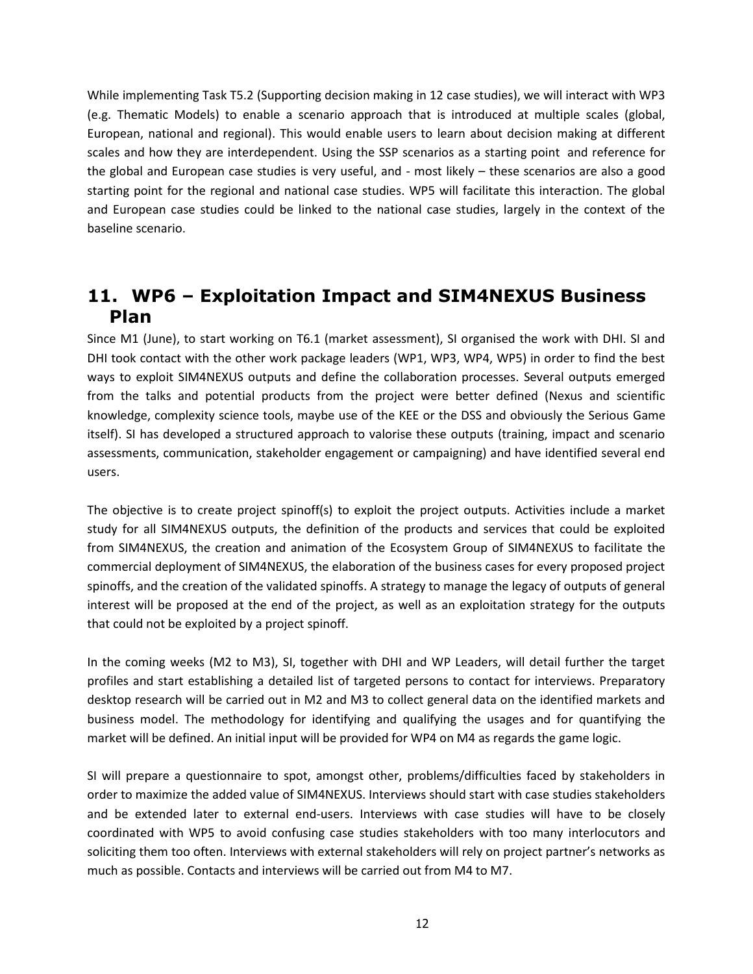While implementing Task T5.2 (Supporting decision making in 12 case studies), we will interact with WP3 (e.g. Thematic Models) to enable a scenario approach that is introduced at multiple scales (global, European, national and regional). This would enable users to learn about decision making at different scales and how they are interdependent. Using the SSP scenarios as a starting point and reference for the global and European case studies is very useful, and - most likely – these scenarios are also a good starting point for the regional and national case studies. WP5 will facilitate this interaction. The global and European case studies could be linked to the national case studies, largely in the context of the baseline scenario.

### <span id="page-11-0"></span>**11. WP6 – Exploitation Impact and SIM4NEXUS Business Plan**

Since M1 (June), to start working on T6.1 (market assessment), SI organised the work with DHI. SI and DHI took contact with the other work package leaders (WP1, WP3, WP4, WP5) in order to find the best ways to exploit SIM4NEXUS outputs and define the collaboration processes. Several outputs emerged from the talks and potential products from the project were better defined (Nexus and scientific knowledge, complexity science tools, maybe use of the KEE or the DSS and obviously the Serious Game itself). SI has developed a structured approach to valorise these outputs (training, impact and scenario assessments, communication, stakeholder engagement or campaigning) and have identified several end users.

The objective is to create project spinoff(s) to exploit the project outputs. Activities include a market study for all SIM4NEXUS outputs, the definition of the products and services that could be exploited from SIM4NEXUS, the creation and animation of the Ecosystem Group of SIM4NEXUS to facilitate the commercial deployment of SIM4NEXUS, the elaboration of the business cases for every proposed project spinoffs, and the creation of the validated spinoffs. A strategy to manage the legacy of outputs of general interest will be proposed at the end of the project, as well as an exploitation strategy for the outputs that could not be exploited by a project spinoff.

In the coming weeks (M2 to M3), SI, together with DHI and WP Leaders, will detail further the target profiles and start establishing a detailed list of targeted persons to contact for interviews. Preparatory desktop research will be carried out in M2 and M3 to collect general data on the identified markets and business model. The methodology for identifying and qualifying the usages and for quantifying the market will be defined. An initial input will be provided for WP4 on M4 as regards the game logic.

SI will prepare a questionnaire to spot, amongst other, problems/difficulties faced by stakeholders in order to maximize the added value of SIM4NEXUS. Interviews should start with case studies stakeholders and be extended later to external end-users. Interviews with case studies will have to be closely coordinated with WP5 to avoid confusing case studies stakeholders with too many interlocutors and soliciting them too often. Interviews with external stakeholders will rely on project partner's networks as much as possible. Contacts and interviews will be carried out from M4 to M7.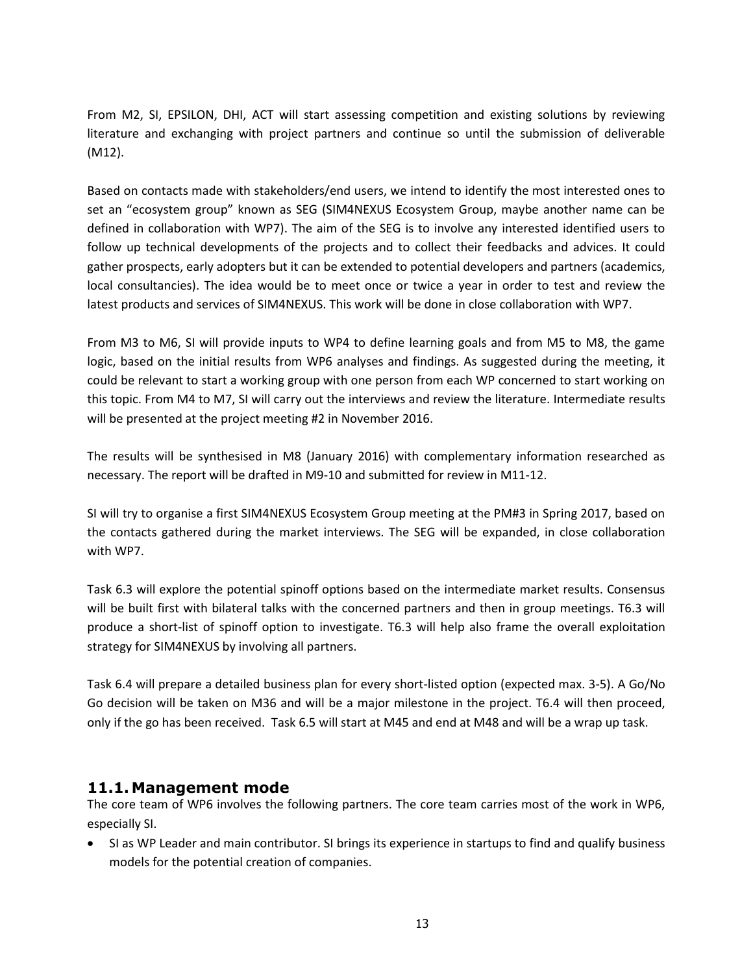From M2, SI, EPSILON, DHI, ACT will start assessing competition and existing solutions by reviewing literature and exchanging with project partners and continue so until the submission of deliverable (M12).

Based on contacts made with stakeholders/end users, we intend to identify the most interested ones to set an "ecosystem group" known as SEG (SIM4NEXUS Ecosystem Group, maybe another name can be defined in collaboration with WP7). The aim of the SEG is to involve any interested identified users to follow up technical developments of the projects and to collect their feedbacks and advices. It could gather prospects, early adopters but it can be extended to potential developers and partners (academics, local consultancies). The idea would be to meet once or twice a year in order to test and review the latest products and services of SIM4NEXUS. This work will be done in close collaboration with WP7.

From M3 to M6, SI will provide inputs to WP4 to define learning goals and from M5 to M8, the game logic, based on the initial results from WP6 analyses and findings. As suggested during the meeting, it could be relevant to start a working group with one person from each WP concerned to start working on this topic. From M4 to M7, SI will carry out the interviews and review the literature. Intermediate results will be presented at the project meeting #2 in November 2016.

The results will be synthesised in M8 (January 2016) with complementary information researched as necessary. The report will be drafted in M9-10 and submitted for review in M11-12.

SI will try to organise a first SIM4NEXUS Ecosystem Group meeting at the PM#3 in Spring 2017, based on the contacts gathered during the market interviews. The SEG will be expanded, in close collaboration with WP7.

Task 6.3 will explore the potential spinoff options based on the intermediate market results. Consensus will be built first with bilateral talks with the concerned partners and then in group meetings. T6.3 will produce a short-list of spinoff option to investigate. T6.3 will help also frame the overall exploitation strategy for SIM4NEXUS by involving all partners.

Task 6.4 will prepare a detailed business plan for every short-listed option (expected max. 3-5). A Go/No Go decision will be taken on M36 and will be a major milestone in the project. T6.4 will then proceed, only if the go has been received. Task 6.5 will start at M45 and end at M48 and will be a wrap up task.

#### <span id="page-12-0"></span>**11.1.Management mode**

The core team of WP6 involves the following partners. The core team carries most of the work in WP6, especially SI.

 SI as WP Leader and main contributor. SI brings its experience in startups to find and qualify business models for the potential creation of companies.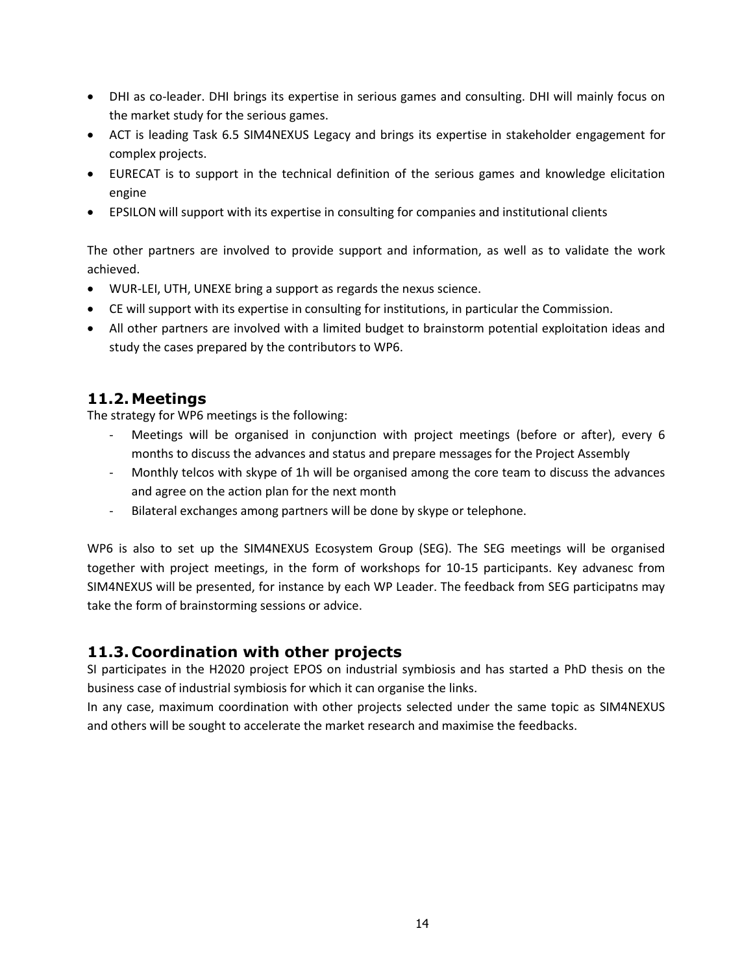- DHI as co-leader. DHI brings its expertise in serious games and consulting. DHI will mainly focus on the market study for the serious games.
- ACT is leading Task 6.5 SIM4NEXUS Legacy and brings its expertise in stakeholder engagement for complex projects.
- EURECAT is to support in the technical definition of the serious games and knowledge elicitation engine
- EPSILON will support with its expertise in consulting for companies and institutional clients

The other partners are involved to provide support and information, as well as to validate the work achieved.

- WUR-LEI, UTH, UNEXE bring a support as regards the nexus science.
- CE will support with its expertise in consulting for institutions, in particular the Commission.
- All other partners are involved with a limited budget to brainstorm potential exploitation ideas and study the cases prepared by the contributors to WP6.

#### <span id="page-13-0"></span>**11.2.Meetings**

The strategy for WP6 meetings is the following:

- Meetings will be organised in conjunction with project meetings (before or after), every 6 months to discuss the advances and status and prepare messages for the Project Assembly
- Monthly telcos with skype of 1h will be organised among the core team to discuss the advances and agree on the action plan for the next month
- Bilateral exchanges among partners will be done by skype or telephone.

WP6 is also to set up the SIM4NEXUS Ecosystem Group (SEG). The SEG meetings will be organised together with project meetings, in the form of workshops for 10-15 participants. Key advanesc from SIM4NEXUS will be presented, for instance by each WP Leader. The feedback from SEG participatns may take the form of brainstorming sessions or advice.

#### <span id="page-13-1"></span>**11.3. Coordination with other projects**

SI participates in the H2020 project EPOS on industrial symbiosis and has started a PhD thesis on the business case of industrial symbiosis for which it can organise the links.

In any case, maximum coordination with other projects selected under the same topic as SIM4NEXUS and others will be sought to accelerate the market research and maximise the feedbacks.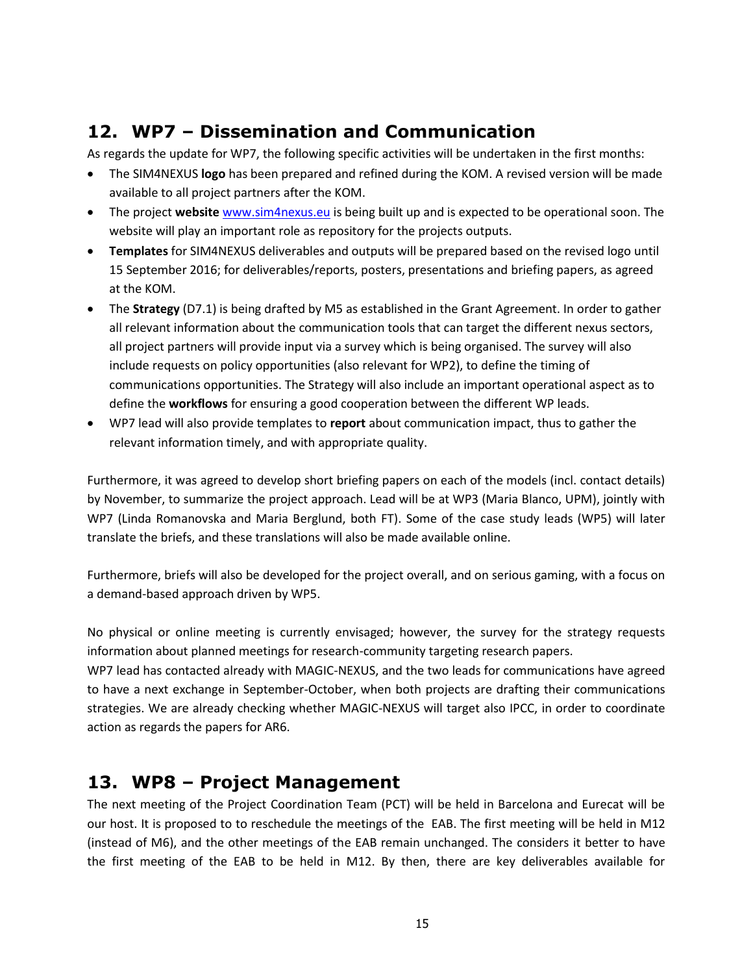# <span id="page-14-0"></span>**12. WP7 – Dissemination and Communication**

As regards the update for WP7, the following specific activities will be undertaken in the first months:

- The SIM4NEXUS **logo** has been prepared and refined during the KOM. A revised version will be made available to all project partners after the KOM.
- The project **website** [www.sim4nexus.eu](http://www.sim4nexus.eu/) is being built up and is expected to be operational soon. The website will play an important role as repository for the projects outputs.
- **Templates** for SIM4NEXUS deliverables and outputs will be prepared based on the revised logo until 15 September 2016; for deliverables/reports, posters, presentations and briefing papers, as agreed at the KOM.
- The **Strategy** (D7.1) is being drafted by M5 as established in the Grant Agreement. In order to gather all relevant information about the communication tools that can target the different nexus sectors, all project partners will provide input via a survey which is being organised. The survey will also include requests on policy opportunities (also relevant for WP2), to define the timing of communications opportunities. The Strategy will also include an important operational aspect as to define the **workflows** for ensuring a good cooperation between the different WP leads.
- WP7 lead will also provide templates to **report** about communication impact, thus to gather the relevant information timely, and with appropriate quality.

Furthermore, it was agreed to develop short briefing papers on each of the models (incl. contact details) by November, to summarize the project approach. Lead will be at WP3 (Maria Blanco, UPM), jointly with WP7 (Linda Romanovska and Maria Berglund, both FT). Some of the case study leads (WP5) will later translate the briefs, and these translations will also be made available online.

Furthermore, briefs will also be developed for the project overall, and on serious gaming, with a focus on a demand-based approach driven by WP5.

No physical or online meeting is currently envisaged; however, the survey for the strategy requests information about planned meetings for research-community targeting research papers.

WP7 lead has contacted already with MAGIC-NEXUS, and the two leads for communications have agreed to have a next exchange in September-October, when both projects are drafting their communications strategies. We are already checking whether MAGIC-NEXUS will target also IPCC, in order to coordinate action as regards the papers for AR6.

### <span id="page-14-1"></span>**13. WP8 – Project Management**

The next meeting of the Project Coordination Team (PCT) will be held in Barcelona and Eurecat will be our host. It is proposed to to reschedule the meetings of the EAB. The first meeting will be held in M12 (instead of M6), and the other meetings of the EAB remain unchanged. The considers it better to have the first meeting of the EAB to be held in M12. By then, there are key deliverables available for